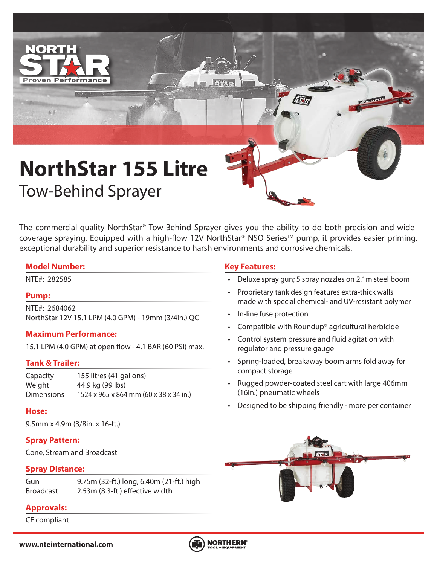

富丁

# **NorthStar 155 Litre** Tow-Behind Sprayer

The commercial-quality NorthStar® Tow-Behind Sprayer gives you the ability to do both precision and widecoverage spraying. Equipped with a high-flow 12V NorthStar® NSQ Series™ pump, it provides easier priming, exceptional durability and superior resistance to harsh environments and corrosive chemicals.

#### **Model Number:**

#### **Pump:**

NTE#: 2684062 NorthStar 12V 15.1 LPM (4.0 GPM) - 19mm (3/4in.) QC

#### **Maximum Performance:**

15.1 LPM (4.0 GPM) at open flow - 4.1 BAR (60 PSI) max.

# **Tank & Trailer:**

Capacity 155 litres (41 gallons) Weight 44.9 kg (99 lbs) Dimensions 1524 x 965 x 864 mm (60 x 38 x 34 in.)

#### **Hose:**

9.5mm x 4.9m (3/8in. x 16-ft.)

# **Spray Pattern:**

Cone, Stream and Broadcast

#### **Spray Distance:**

Gun 9.75m (32-ft.) long, 6.40m (21-ft.) high Broadcast 2.53m (8.3-ft.) effective width

# **Approvals:**

CE compliant

# **Key Features:**

- NTE#: 282585 Deluxe spray gun; 5 spray nozzles on 2.1m steel boom
	- Proprietary tank design features extra-thick walls made with special chemical- and UV-resistant polymer
	- In-line fuse protection
	- Compatible with Roundup® agricultural herbicide
	- Control system pressure and fluid agitation with regulator and pressure gauge
	- Spring-loaded, breakaway boom arms fold away for compact storage
	- Rugged powder-coated steel cart with large 406mm (16in.) pneumatic wheels
	- Designed to be shipping friendly more per container